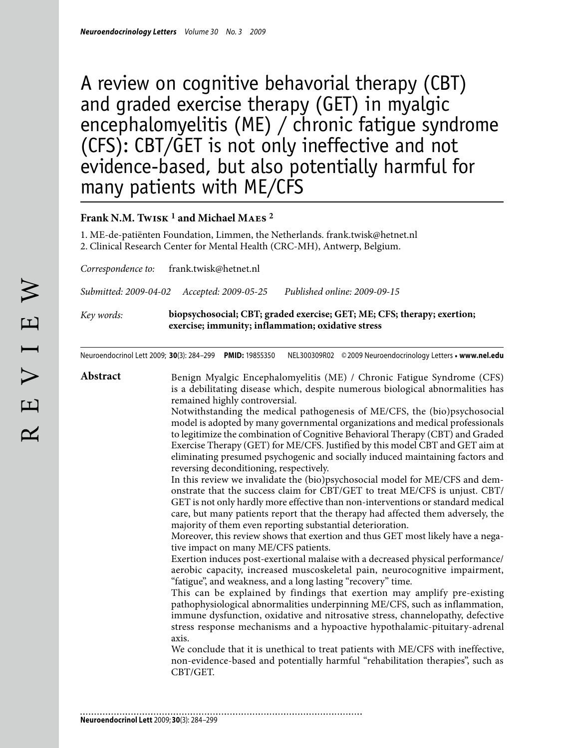# A review on cognitive behavorial therapy (CBT) and graded exercise therapy (GET) in myalgic encephalomyelitis (ME) / chronic fatigue syndrome (CFS): CBT/GET is not only ineffective and not evidence-based, but also potentially harmful for many patients with ME/CFS

# **Frank N.M. Twisk 1 and Michael Maes 2**

1. ME-de-patiënten Foundation, Limmen, the Netherlands. frank.twisk@hetnet.nl 2. Clinical Research Center for Mental Health (CRC-MH), Antwerp, Belgium.

*Correspondence to:* frank.twisk@hetnet.nl

*Submitted: 2009-04-02 Accepted: 2009-05-25 Published online: 2009-09-15*

*Key words:* **biopsychosocial; CBT; graded exercise; GET; ME; CFS; therapy; exertion; exercise; immunity; inflammation; oxidative stress**

Neuroendocrinol Lett 2009; **30**(3): 284–299 **PMID:** 19855350 NEL300309R02 ©2009 Neuroendocrinology Letters • **www.nel.edu**

**Abstract** Benign Myalgic Encephalomyelitis (ME) / Chronic Fatigue Syndrome (CFS) is a debilitating disease which, despite numerous biological abnormalities has remained highly controversial.

Notwithstanding the medical pathogenesis of ME/CFS, the (bio)psychosocial model is adopted by many governmental organizations and medical professionals to legitimize the combination of Cognitive Behavioral Therapy (CBT) and Graded Exercise Therapy (GET) for ME/CFS. Justified by this model CBT and GET aim at eliminating presumed psychogenic and socially induced maintaining factors and reversing deconditioning, respectively.

In this review we invalidate the (bio)psychosocial model for ME/CFS and demonstrate that the success claim for CBT/GET to treat ME/CFS is unjust. CBT/ GET is not only hardly more effective than non-interventions or standard medical care, but many patients report that the therapy had affected them adversely, the majority of them even reporting substantial deterioration.

Moreover, this review shows that exertion and thus GET most likely have a negative impact on many ME/CFS patients.

Exertion induces post-exertional malaise with a decreased physical performance/ aerobic capacity, increased muscoskeletal pain, neurocognitive impairment, "fatigue", and weakness, and a long lasting "recovery" time.

This can be explained by findings that exertion may amplify pre-existing pathophysiological abnormalities underpinning ME/CFS, such as inflammation, immune dysfunction, oxidative and nitrosative stress, channelopathy, defective stress response mechanisms and a hypoactive hypothalamic-pituitary-adrenal axis.

We conclude that it is unethical to treat patients with ME/CFS with ineffective, non-evidence-based and potentially harmful "rehabilitation therapies", such as CBT/GET.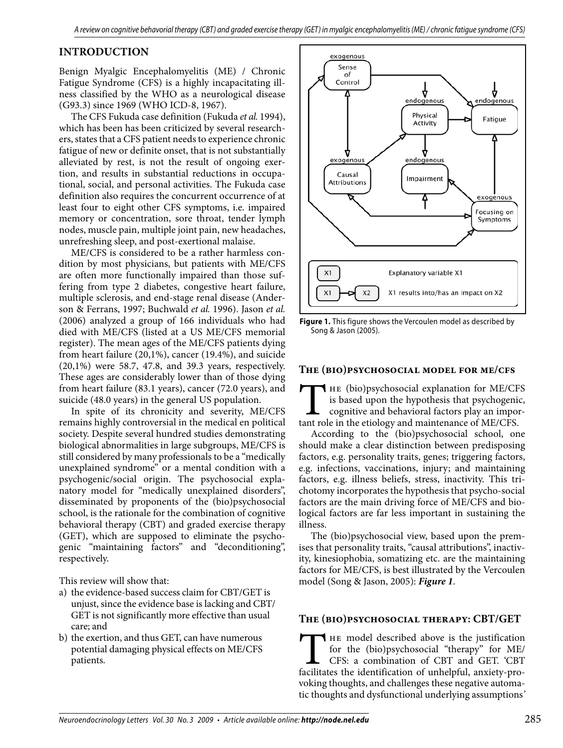# **Introduction**

Benign Myalgic Encephalomyelitis (ME) / Chronic Fatigue Syndrome (CFS) is a highly incapacitating illness classified by the WHO as a neurological disease (G93.3) since 1969 (WHO ICD-8, 1967).

The CFS Fukuda case definition (Fukuda *et al.* 1994), which has been has been criticized by several researchers, states that a CFS patient needs to experience chronic fatigue of new or definite onset, that is not substantially alleviated by rest, is not the result of ongoing exertion, and results in substantial reductions in occupational, social, and personal activities. The Fukuda case definition also requires the concurrent occurrence of at least four to eight other CFS symptoms, i.e. impaired memory or concentration, sore throat, tender lymph nodes, muscle pain, multiple joint pain, new headaches, unrefreshing sleep, and post-exertional malaise.

ME/CFS is considered to be a rather harmless condition by most physicians, but patients with ME/CFS are often more functionally impaired than those suffering from type 2 diabetes, congestive heart failure, multiple sclerosis, and end-stage renal disease (Anderson & Ferrans, 1997; Buchwald *et al.* 1996). Jason *et al.*  (2006) analyzed a group of 166 individuals who had died with ME/CFS (listed at a US ME/CFS memorial register). The mean ages of the ME/CFS patients dying from heart failure (20,1%), cancer (19.4%), and suicide (20,1%) were 58.7, 47.8, and 39.3 years, respectively. These ages are considerably lower than of those dying from heart failure (83.1 years), cancer (72.0 years), and suicide (48.0 years) in the general US population.

In spite of its chronicity and severity, ME/CFS remains highly controversial in the medical en political society. Despite several hundred studies demonstrating biological abnormalities in large subgroups, ME/CFS is still considered by many professionals to be a "medically unexplained syndrome" or a mental condition with a psychogenic/social origin. The psychosocial explanatory model for "medically unexplained disorders", disseminated by proponents of the (bio)psychosocial school, is the rationale for the combination of cognitive behavioral therapy (CBT) and graded exercise therapy (GET), which are supposed to eliminate the psychogenic "maintaining factors" and "deconditioning", respectively.

This review will show that:

- a) the evidence-based success claim for CBT/GET is unjust, since the evidence base is lacking and CBT/ GET is not significantly more effective than usual care; and
- b) the exertion, and thus GET, can have numerous potential damaging physical effects on ME/CFS patients.



**Figure 1.** This figure shows the Vercoulen model as described by Song & Jason (2005).

#### **The (bio)psychosocial model for me/cfs**

THE (bio)psychosocial explanation for ME/CFS is based upon the hypothesis that psychogenic, cognitive and behavioral factors play an important role in the etiology and maintenance of ME/CFS. is based upon the hypothesis that psychogenic, cognitive and behavioral factors play an impor-

According to the (bio)psychosocial school, one should make a clear distinction between predisposing factors, e.g. personality traits, genes; triggering factors, e.g. infections, vaccinations, injury; and maintaining factors, e.g. illness beliefs, stress, inactivity. This trichotomy incorporates the hypothesis that psycho-social factors are the main driving force of ME/CFS and biological factors are far less important in sustaining the illness.

The (bio)psychosocial view, based upon the premises that personality traits, "causal attributions", inactivity, kinesiophobia, somatizing etc. are the maintaining factors for ME/CFS, is best illustrated by the Vercoulen model (Song & Jason, 2005): *Figure 1*.

## **The (bio)psychosocial therapy: CBT/GET**

THE model described above is the justification for the (bio)psychosocial "therapy" for ME/<br>CFS: a combination of CBT and GET. 'CBT<br>facilitates the identification of unhelpful, anxiety-profor the (bio)psychosocial "therapy" for ME/ CFS: a combination of CBT and GET. 'CBT voking thoughts, and challenges these negative automatic thoughts and dysfunctional underlying assumptions*'*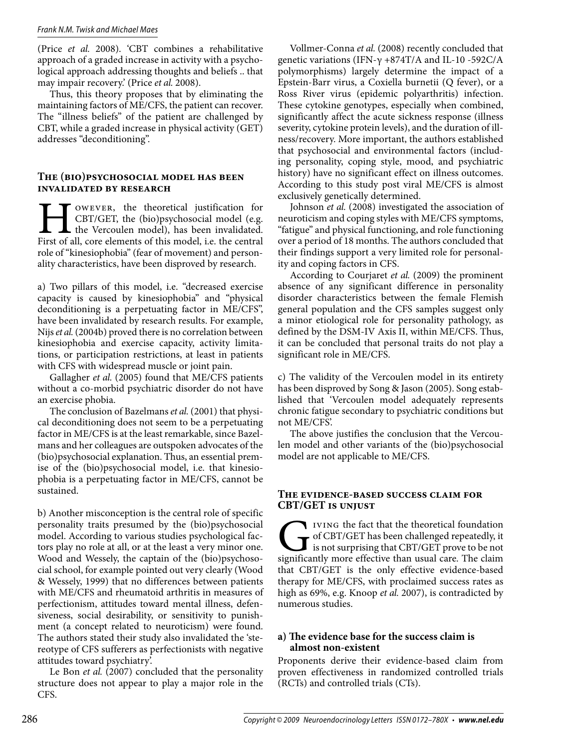#### *Frank N.M. Twisk and Michael Maes*

(Price *et al.* 2008). 'CBT combines a rehabilitative approach of a graded increase in activity with a psychological approach addressing thoughts and beliefs .. that may impair recovery.' (Price *et al.* 2008).

Thus, this theory proposes that by eliminating the maintaining factors of ME/CFS, the patient can recover. The "illness beliefs" of the patient are challenged by CBT, while a graded increase in physical activity (GET) addresses "deconditioning".

#### **The (bio)psychosocial model has been invalidated by research**

OWEVER, the theoretical justification for CBT/GET, the (bio)psychosocial model (e.g. the Vercoulen model), has been invalidated. First of all, core elements of this model, i.e. the central role of "kinesiophobia" (fear of movement) and personality characteristics, have been disproved by research.

a) Two pillars of this model, i.e. "decreased exercise capacity is caused by kinesiophobia" and "physical deconditioning is a perpetuating factor in ME/CFS", have been invalidated by research results. For example, Nijs *et al.* (2004b) proved there is no correlation between kinesiophobia and exercise capacity, activity limitations, or participation restrictions, at least in patients with CFS with widespread muscle or joint pain.

Gallagher *et al.* (2005) found that ME/CFS patients without a co-morbid psychiatric disorder do not have an exercise phobia.

The conclusion of Bazelmans *et al.* (2001) that physical deconditioning does not seem to be a perpetuating factor in ME/CFS is at the least remarkable, since Bazelmans and her colleagues are outspoken advocates of the (bio)psychosocial explanation. Thus, an essential premise of the (bio)psychosocial model, i.e. that kinesiophobia is a perpetuating factor in ME/CFS, cannot be sustained.

b) Another misconception is the central role of specific personality traits presumed by the (bio)psychosocial model. According to various studies psychological factors play no role at all, or at the least a very minor one. Wood and Wessely, the captain of the (bio)psychosocial school, for example pointed out very clearly (Wood & Wessely, 1999) that no differences between patients with ME/CFS and rheumatoid arthritis in measures of perfectionism, attitudes toward mental illness, defensiveness, social desirability, or sensitivity to punishment (a concept related to neuroticism) were found. The authors stated their study also invalidated the 'stereotype of CFS sufferers as perfectionists with negative attitudes toward psychiatry'.

Le Bon *et al.* (2007) concluded that the personality structure does not appear to play a major role in the CFS.

Vollmer-Conna *et al.* (2008) recently concluded that genetic variations (IFN-γ +874T/A and IL-10 -592C/A polymorphisms) largely determine the impact of a Epstein-Barr virus, a Coxiella burnetii (Q fever), or a Ross River virus (epidemic polyarthritis) infection. These cytokine genotypes, especially when combined, significantly affect the acute sickness response (illness severity, cytokine protein levels), and the duration of illness/recovery. More important, the authors established that psychosocial and environmental factors (including personality, coping style, mood, and psychiatric history) have no significant effect on illness outcomes. According to this study post viral ME/CFS is almost exclusively genetically determined.

Johnson et al. (2008) investigated the association of neuroticism and coping styles with ME/CFS symptoms, "fatigue" and physical functioning, and role functioning over a period of 18 months. The authors concluded that their findings support a very limited role for personality and coping factors in CFS.

According to Courjaret *et al.* (2009) the prominent absence of any significant difference in personality disorder characteristics between the female Flemish general population and the CFS samples suggest only a minor etiological role for personality pathology, as defined by the DSM-IV Axis II, within ME/CFS. Thus, it can be concluded that personal traits do not play a significant role in ME/CFS.

c) The validity of the Vercoulen model in its entirety has been disproved by Song & Jason (2005). Song established that 'Vercoulen model adequately represents chronic fatigue secondary to psychiatric conditions but not ME/CFS'.

The above justifies the conclusion that the Vercoulen model and other variants of the (bio)psychosocial model are not applicable to ME/CFS.

#### **The evidence-based success claim for CBT/GET is unjust**

IVING the fact that the theoretical foundation<br>of CBT/GET has been challenged repeatedly, it<br>is not surprising that CBT/GET prove to be not<br>significantly more effective than usual care. The claim of CBT/GET has been challenged repeatedly, it is not surprising that CBT/GET prove to be not significantly more effective than usual care. The claim that CBT/GET is the only effective evidence-based therapy for ME/CFS, with proclaimed success rates as high as 69%, e.g. Knoop *et al.* 2007), is contradicted by numerous studies.

#### **a) The evidence base for the success claim is almost non-existent**

Proponents derive their evidence-based claim from proven effectiveness in randomized controlled trials (RCTs) and controlled trials (CTs).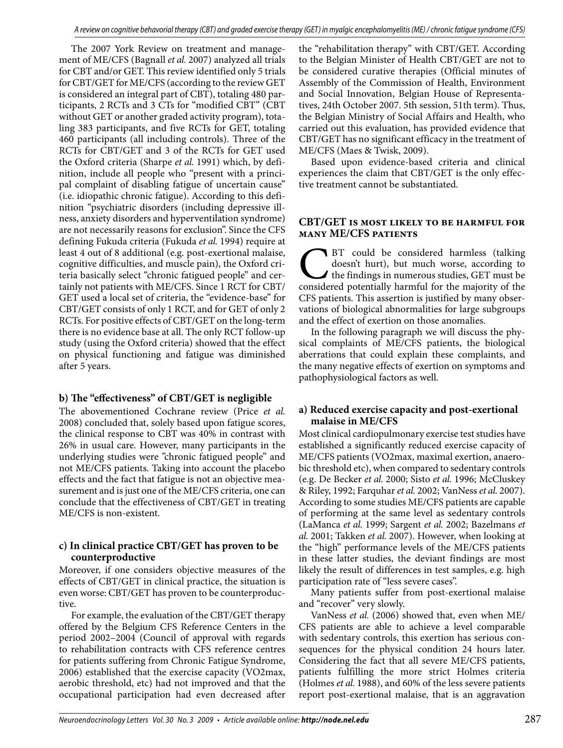The 2007 York Review on treatment and management of ME/CFS (Bagnall *et al.* 2007) analyzed all trials for CBT and/or GET. This review identified only 5 trials for CBT/GET for ME/CFS (according to the review GET is considered an integral part of CBT), totaling 480 participants, 2 RCTs and 3 CTs for "modified CBT" (CBT without GET or another graded activity program), totaling 383 participants, and five RCTs for GET, totaling 460 participants (all including controls). Three of the RCTs for CBT/GET and 3 of the RCTs for GET used the Oxford criteria (Sharpe *et al.* 1991) which, by definition, include all people who "present with a principal complaint of disabling fatigue of uncertain cause" (i.e. idiopathic chronic fatigue). According to this definition "psychiatric disorders (including depressive illness, anxiety disorders and hyperventilation syndrome) are not necessarily reasons for exclusion". Since the CFS defining Fukuda criteria (Fukuda *et al.* 1994) require at least 4 out of 8 additional (e.g. post-exertional malaise, cognitive difficulties, and muscle pain), the Oxford criteria basically select "chronic fatigued people" and certainly not patients with ME/CFS. Since 1 RCT for CBT/ GET used a local set of criteria, the "evidence-base" for CBT/GET consists of only 1 RCT, and for GET of only 2 RCTs. For positive effects of CBT/GET on the long-term there is no evidence base at all. The only RCT follow-up study (using the Oxford criteria) showed that the effect on physical functioning and fatigue was diminished after 5 years.

## **b) The "effectiveness" of CBT/GET is negligible**

The abovementioned Cochrane review (Price *et al.*  2008) concluded that, solely based upon fatigue scores, the clinical response to CBT was 40% in contrast with 26% in usual care. However, many participants in the underlying studies were "chronic fatigued people" and not ME/CFS patients. Taking into account the placebo effects and the fact that fatigue is not an objective measurement and is just one of the ME/CFS criteria, one can conclude that the effectiveness of CBT/GET in treating ME/CFS is non-existent.

#### **c) In clinical practice CBT/GET has proven to be counterproductive**

Moreover, if one considers objective measures of the effects of CBT/GET in clinical practice, the situation is even worse: CBT/GET has proven to be counterproductive.

For example, the evaluation of the CBT/GET therapy offered by the Belgium CFS Reference Centers in the period 2002–2004 (Council of approval with regards to rehabilitation contracts with CFS reference centres for patients suffering from Chronic Fatigue Syndrome, 2006) established that the exercise capacity (VO2max, aerobic threshold, etc) had not improved and that the occupational participation had even decreased after

the "rehabilitation therapy" with CBT/GET. According to the Belgian Minister of Health CBT/GET are not to be considered curative therapies (Official minutes of Assembly of the Commission of Health, Environment and Social Innovation, Belgian House of Representatives, 24th October 2007. 5th session, 51th term). Thus, the Belgian Ministry of Social Affairs and Health, who carried out this evaluation, has provided evidence that CBT/GET has no significant efficacy in the treatment of ME/CFS (Maes & Twisk, 2009).

Based upon evidence-based criteria and clinical experiences the claim that CBT/GET is the only effective treatment cannot be substantiated.

#### **CBT/GET is most likely to be harmful for many ME/CFS patients**

BT could be considered harmless (talking doesn't hurt), but much worse, according to the findings in numerous studies, GET must be considered potentially harmful for the majority of the CFS patients. This assertion is justified by many observations of biological abnormalities for large subgroups and the effect of exertion on those anomalies.

In the following paragraph we will discuss the physical complaints of ME/CFS patients, the biological aberrations that could explain these complaints, and the many negative effects of exertion on symptoms and pathophysiological factors as well.

## **a) Reduced exercise capacity and post-exertional malaise in ME/CFS**

Most clinical cardiopulmonary exercise test studies have established a significantly reduced exercise capacity of ME/CFS patients (VO2max, maximal exertion, anaerobic threshold etc), when compared to sedentary controls (e.g. De Becker *et al.* 2000; Sisto *et al.* 1996; McCluskey & Riley, 1992; Farquhar *et al.* 2002; VanNess *et al.* 2007). According to some studies ME/CFS patients are capable of performing at the same level as sedentary controls (LaManca *et al.* 1999; Sargent *et al.* 2002; Bazelmans *et al.* 2001; Takken *et al.* 2007). However, when looking at the "high" performance levels of the ME/CFS patients in these latter studies, the deviant findings are most likely the result of differences in test samples, e.g. high participation rate of "less severe cases".

Many patients suffer from post-exertional malaise and "recover" very slowly.

VanNess *et al.* (2006) showed that, even when ME/ CFS patients are able to achieve a level comparable with sedentary controls, this exertion has serious consequences for the physical condition 24 hours later. Considering the fact that all severe ME/CFS patients, patients fulfilling the more strict Holmes criteria (Holmes *et al.* 1988), and 60% of the less severe patients report post-exertional malaise, that is an aggravation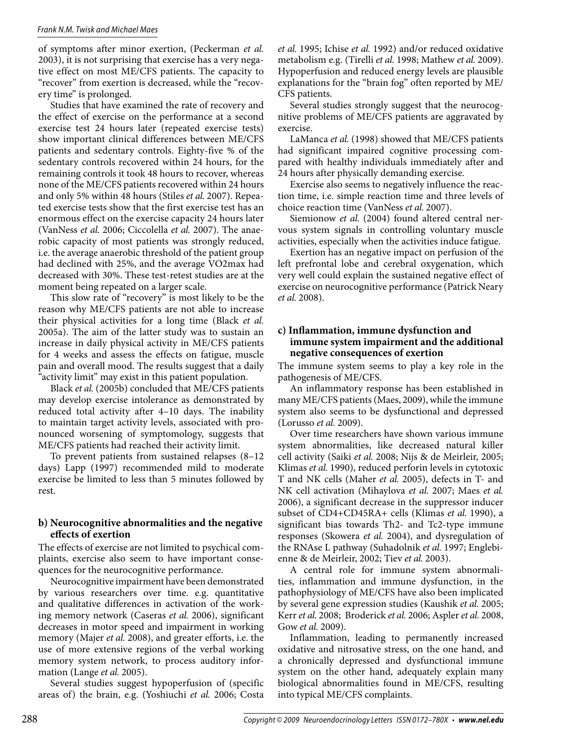of symptoms after minor exertion, (Peckerman *et al.*  2003), it is not surprising that exercise has a very negative effect on most ME/CFS patients. The capacity to "recover" from exertion is decreased, while the "recovery time" is prolonged.

Studies that have examined the rate of recovery and the effect of exercise on the performance at a second exercise test 24 hours later (repeated exercise tests) show important clinical differences between ME/CFS patients and sedentary controls. Eighty-five % of the sedentary controls recovered within 24 hours, for the remaining controls it took 48 hours to recover, whereas none of the ME/CFS patients recovered within 24 hours and only 5% within 48 hours (Stiles *et al.* 2007). Repeated exercise tests show that the first exercise test has an enormous effect on the exercise capacity 24 hours later (VanNess *et al.* 2006; Ciccolella *et al.* 2007). The anaerobic capacity of most patients was strongly reduced, i.e. the average anaerobic threshold of the patient group had declined with 25%, and the average VO2max had decreased with 30%. These test-retest studies are at the moment being repeated on a larger scale.

This slow rate of "recovery" is most likely to be the reason why ME/CFS patients are not able to increase their physical activities for a long time (Black *et al.*  2005a). The aim of the latter study was to sustain an increase in daily physical activity in ME/CFS patients for 4 weeks and assess the effects on fatigue, muscle pain and overall mood. The results suggest that a daily "activity limit" may exist in this patient population.

Black *et al.* (2005b) concluded that ME/CFS patients may develop exercise intolerance as demonstrated by reduced total activity after 4–10 days. The inability to maintain target activity levels, associated with pronounced worsening of symptomology, suggests that ME/CFS patients had reached their activity limit.

To prevent patients from sustained relapses (8–12 days) Lapp (1997) recommended mild to moderate exercise be limited to less than 5 minutes followed by rest.

#### **b) Neurocognitive abnormalities and the negative effects of exertion**

The effects of exercise are not limited to psychical complaints, exercise also seem to have important consequences for the neurocognitive performance.

Neurocognitive impairment have been demonstrated by various researchers over time. e.g. quantitative and qualitative differences in activation of the working memory network (Caseras *et al.* 2006), significant decreases in motor speed and impairment in working memory (Majer *et al.* 2008), and greater efforts, i.e. the use of more extensive regions of the verbal working memory system network, to process auditory information (Lange *et al.* 2005).

Several studies suggest hypoperfusion of (specific areas of) the brain, e.g. (Yoshiuchi *et al.* 2006; Costa *et al.* 1995; Ichise *et al.* 1992) and/or reduced oxidative metabolism e.g. (Tirelli *et al.* 1998; Mathew *et al.* 2009). Hypoperfusion and reduced energy levels are plausible explanations for the "brain fog" often reported by ME/ CFS patients.

Several studies strongly suggest that the neurocognitive problems of ME/CFS patients are aggravated by exercise.

LaManca *et al.* (1998) showed that ME/CFS patients had significant impaired cognitive processing compared with healthy individuals immediately after and 24 hours after physically demanding exercise.

Exercise also seems to negatively influence the reaction time, i.e. simple reaction time and three levels of choice reaction time (VanNess *et al.* 2007).

Siemionow et al. (2004) found altered central nervous system signals in controlling voluntary muscle activities, especially when the activities induce fatigue.

Exertion has an negative impact on perfusion of the left prefrontal lobe and cerebral oxygenation, which very well could explain the sustained negative effect of exercise on neurocognitive performance (Patrick Neary *et al.* 2008).

#### **c) Inflammation, immune dysfunction and immune system impairment and the additional negative consequences of exertion**

The immune system seems to play a key role in the pathogenesis of ME/CFS.

An inflammatory response has been established in many ME/CFS patients (Maes, 2009), while the immune system also seems to be dysfunctional and depressed (Lorusso *et al.* 2009).

Over time researchers have shown various immune system abnormalities, like decreased natural killer cell activity (Saiki *et al.* 2008; Nijs & de Meirleir, 2005; Klimas *et al.* 1990), reduced perforin levels in cytotoxic T and NK cells (Maher *et al.* 2005), defects in T- and NK cell activation (Mihaylova *et al.* 2007; Maes *et al.*  2006), a significant decrease in the suppressor inducer subset of CD4+CD45RA+ cells (Klimas *et al.* 1990), a significant bias towards Th2- and Tc2-type immune responses (Skowera *et al.* 2004), and dysregulation of the RNAse L pathway (Suhadolnik *et al.* 1997; Englebienne & de Meirleir, 2002; Tiev *et al.* 2003).

A central role for immune system abnormalities, inflammation and immune dysfunction, in the pathophysiology of ME/CFS have also been implicated by several gene expression studies (Kaushik *et al.* 2005; Kerr *et al.* 2008; Broderick *et al.* 2006; Aspler *et al.* 2008, Gow *et al.* 2009).

Inflammation, leading to permanently increased oxidative and nitrosative stress, on the one hand, and a chronically depressed and dysfunctional immune system on the other hand, adequately explain many biological abnormalities found in ME/CFS, resulting into typical ME/CFS complaints.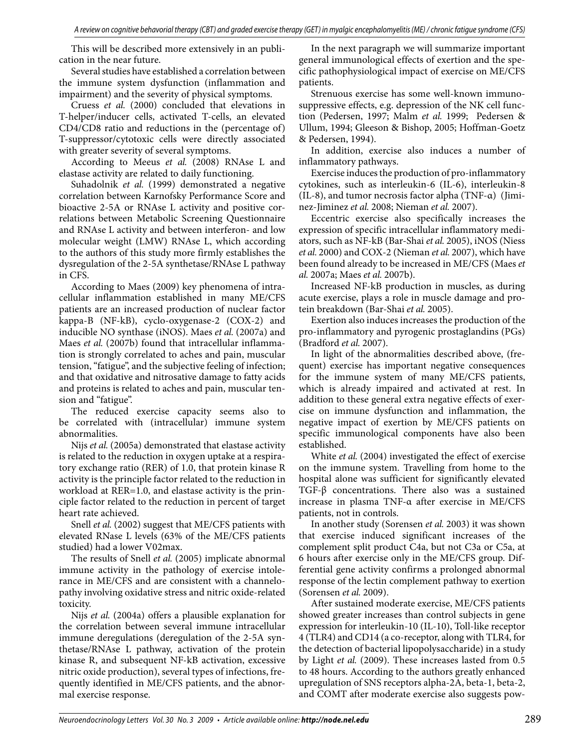This will be described more extensively in an publication in the near future.

Several studies have established a correlation between the immune system dysfunction (inflammation and impairment) and the severity of physical symptoms.

Cruess *et al.* (2000) concluded that elevations in T-helper/inducer cells, activated T-cells, an elevated CD4/CD8 ratio and reductions in the (percentage of) T-suppressor/cytotoxic cells were directly associated with greater severity of several symptoms.

According to Meeus *et al.* (2008) RNAse L and elastase activity are related to daily functioning.

Suhadolnik *et al.* (1999) demonstrated a negative correlation between Karnofsky Performance Score and bioactive 2-5A or RNAse L activity and positive correlations between Metabolic Screening Questionnaire and RNAse L activity and between interferon- and low molecular weight (LMW) RNAse L, which according to the authors of this study more firmly establishes the dysregulation of the 2-5A synthetase/RNAse L pathway in CFS.

According to Maes (2009) key phenomena of intracellular inflammation established in many ME/CFS patients are an increased production of nuclear factor kappa-B (NF-kB), cyclo-oxygenase-2 (COX-2) and inducible NO synthase (iNOS). Maes *et al.* (2007a) and Maes et al. (2007b) found that intracellular inflammation is strongly correlated to aches and pain, muscular tension, "fatigue", and the subjective feeling of infection; and that oxidative and nitrosative damage to fatty acids and proteins is related to aches and pain, muscular tension and "fatigue".

The reduced exercise capacity seems also to be correlated with (intracellular) immune system abnormalities.

Nijs *et al.* (2005a) demonstrated that elastase activity is related to the reduction in oxygen uptake at a respiratory exchange ratio (RER) of 1.0, that protein kinase R activity is the principle factor related to the reduction in workload at RER=1.0, and elastase activity is the principle factor related to the reduction in percent of target heart rate achieved.

Snell *et al.* (2002) suggest that ME/CFS patients with elevated RNase L levels (63% of the ME/CFS patients studied) had a lower V02max.

The results of Snell *et al.* (2005) implicate abnormal immune activity in the pathology of exercise intolerance in ME/CFS and are consistent with a channelopathy involving oxidative stress and nitric oxide-related toxicity.

Nijs *et al.* (2004a) offers a plausible explanation for the correlation between several immune intracellular immune deregulations (deregulation of the 2-5A synthetase/RNAse L pathway, activation of the protein kinase R, and subsequent NF-kB activation, excessive nitric oxide production), several types of infections, frequently identified in ME/CFS patients, and the abnormal exercise response.

In the next paragraph we will summarize important general immunological effects of exertion and the specific pathophysiological impact of exercise on ME/CFS patients.

Strenuous exercise has some well-known immunosuppressive effects, e.g. depression of the NK cell function (Pedersen, 1997; Malm *et al.* 1999; Pedersen & Ullum, 1994; Gleeson & Bishop, 2005; Hoffman-Goetz & Pedersen, 1994).

In addition, exercise also induces a number of inflammatory pathways.

Exercise induces the production of pro-inflammatory cytokines, such as interleukin-6 (IL-6), interleukin-8 (IL-8), and tumor necrosis factor alpha (TNF-α) (Jiminez-Jiminez *et al.* 2008; Nieman *et al.* 2007).

Eccentric exercise also specifically increases the expression of specific intracellular inflammatory mediators, such as NF-kB (Bar-Shai *et al.* 2005), iNOS (Niess *et al.* 2000) and COX-2 (Nieman *et al.* 2007), which have been found already to be increased in ME/CFS (Maes *et al.* 2007a; Maes *et al.* 2007b).

Increased NF-kB production in muscles, as during acute exercise, plays a role in muscle damage and protein breakdown (Bar-Shai *et al.* 2005).

Exertion also induces increases the production of the pro-inflammatory and pyrogenic prostaglandins (PGs) (Bradford *et al.* 2007).

In light of the abnormalities described above, (frequent) exercise has important negative consequences for the immune system of many ME/CFS patients, which is already impaired and activated at rest. In addition to these general extra negative effects of exercise on immune dysfunction and inflammation, the negative impact of exertion by ME/CFS patients on specific immunological components have also been established.

White *et al.* (2004) investigated the effect of exercise on the immune system. Travelling from home to the hospital alone was sufficient for significantly elevated TGF-β concentrations. There also was a sustained increase in plasma TNF-α after exercise in ME/CFS patients, not in controls.

In another study (Sorensen *et al.* 2003) it was shown that exercise induced significant increases of the complement split product C4a, but not C3a or C5a, at 6 hours after exercise only in the ME/CFS group. Differential gene activity confirms a prolonged abnormal response of the lectin complement pathway to exertion (Sorensen *et al.* 2009).

After sustained moderate exercise, ME/CFS patients showed greater increases than control subjects in gene expression for interleukin-10 (IL-10), Toll-like receptor 4 (TLR4) and CD14 (a co-receptor, along with TLR4, for the detection of bacterial lipopolysaccharide) in a study by Light *et al.* (2009). These increases lasted from 0.5 to 48 hours. According to the authors greatly enhanced upregulation of SNS receptors alpha-2A, beta-1, beta-2, and COMT after moderate exercise also suggests pow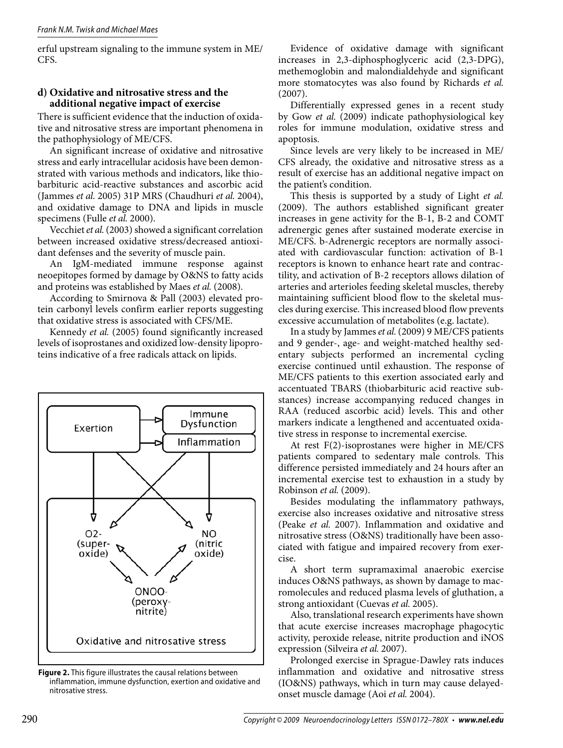erful upstream signaling to the immune system in ME/ CFS.

## **d) Oxidative and nitrosative stress and the additional negative impact of exercise**

There is sufficient evidence that the induction of oxidative and nitrosative stress are important phenomena in the pathophysiology of ME/CFS.

An significant increase of oxidative and nitrosative stress and early intracellular acidosis have been demonstrated with various methods and indicators, like thiobarbituric acid-reactive substances and ascorbic acid (Jammes *et al.* 2005) 31P MRS (Chaudhuri *et al.* 2004), and oxidative damage to DNA and lipids in muscle specimens (Fulle *et al.* 2000).

Vecchiet *et al.* (2003) showed a significant correlation between increased oxidative stress/decreased antioxidant defenses and the severity of muscle pain.

An IgM-mediated immune response against neoepitopes formed by damage by O&NS to fatty acids and proteins was established by Maes *et al.* (2008).

According to Smirnova & Pall (2003) elevated protein carbonyl levels confirm earlier reports suggesting that oxidative stress is associated with CFS/ME.

Kennedy et al. (2005) found significantly increased levels of isoprostanes and oxidized low-density lipoproteins indicative of a free radicals attack on lipids.



**Figure 2.** This figure illustrates the causal relations between inflammation, immune dysfunction, exertion and oxidative and nitrosative stress.

Evidence of oxidative damage with significant increases in 2,3-diphosphoglyceric acid (2,3-DPG), methemoglobin and malondialdehyde and significant more stomatocytes was also found by Richards *et al.*  (2007).

Differentially expressed genes in a recent study by Gow *et al.* (2009) indicate pathophysiological key roles for immune modulation, oxidative stress and apoptosis.

Since levels are very likely to be increased in ME/ CFS already, the oxidative and nitrosative stress as a result of exercise has an additional negative impact on the patient's condition.

This thesis is supported by a study of Light *et al.*  (2009). The authors established significant greater increases in gene activity for the B-1, B-2 and COMT adrenergic genes after sustained moderate exercise in ME/CFS. b-Adrenergic receptors are normally associated with cardiovascular function: activation of B-1 receptors is known to enhance heart rate and contractility, and activation of B-2 receptors allows dilation of arteries and arterioles feeding skeletal muscles, thereby maintaining sufficient blood flow to the skeletal muscles during exercise. This increased blood flow prevents excessive accumulation of metabolites (e.g. lactate).

In a study by Jammes *et al.* (2009) 9 ME/CFS patients and 9 gender-, age- and weight-matched healthy sedentary subjects performed an incremental cycling exercise continued until exhaustion. The response of ME/CFS patients to this exertion associated early and accentuated TBARS (thiobarbituric acid reactive substances) increase accompanying reduced changes in RAA (reduced ascorbic acid) levels. This and other markers indicate a lengthened and accentuated oxidative stress in response to incremental exercise.

At rest F(2)-isoprostanes were higher in ME/CFS patients compared to sedentary male controls. This difference persisted immediately and 24 hours after an incremental exercise test to exhaustion in a study by Robinson *et al.* (2009).

Besides modulating the inflammatory pathways, exercise also increases oxidative and nitrosative stress (Peake *et al.* 2007). Inflammation and oxidative and nitrosative stress (O&NS) traditionally have been associated with fatigue and impaired recovery from exercise.

A short term supramaximal anaerobic exercise induces O&NS pathways, as shown by damage to macromolecules and reduced plasma levels of gluthation, a strong antioxidant (Cuevas *et al.* 2005).

Also, translational research experiments have shown that acute exercise increases macrophage phagocytic activity, peroxide release, nitrite production and iNOS expression (Silveira *et al.* 2007).

Prolonged exercise in Sprague-Dawley rats induces inflammation and oxidative and nitrosative stress (IO&NS) pathways, which in turn may cause delayedonset muscle damage (Aoi *et al.* 2004).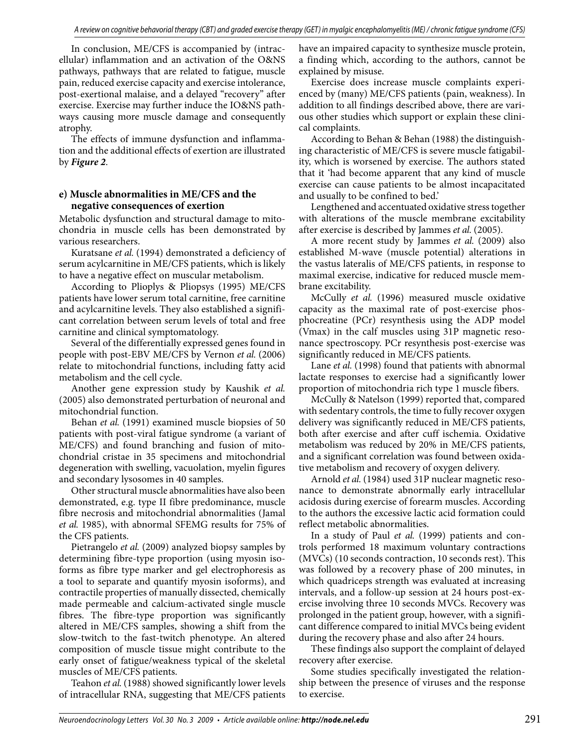In conclusion, ME/CFS is accompanied by (intracellular) inflammation and an activation of the O&NS pathways, pathways that are related to fatigue, muscle pain, reduced exercise capacity and exercise intolerance, post-exertional malaise, and a delayed "recovery" after exercise. Exercise may further induce the IO&NS pathways causing more muscle damage and consequently atrophy.

The effects of immune dysfunction and inflammation and the additional effects of exertion are illustrated by *Figure 2*.

## **e) Muscle abnormalities in ME/CFS and the negative consequences of exertion**

Metabolic dysfunction and structural damage to mitochondria in muscle cells has been demonstrated by various researchers.

Kuratsane *et al.* (1994) demonstrated a deficiency of serum acylcarnitine in ME/CFS patients, which is likely to have a negative effect on muscular metabolism.

According to Plioplys & Pliopsys (1995) ME/CFS patients have lower serum total carnitine, free carnitine and acylcarnitine levels. They also established a significant correlation between serum levels of total and free carnitine and clinical symptomatology.

Several of the differentially expressed genes found in people with post-EBV ME/CFS by Vernon *et al.* (2006) relate to mitochondrial functions, including fatty acid metabolism and the cell cycle.

Another gene expression study by Kaushik *et al.*  (2005) also demonstrated perturbation of neuronal and mitochondrial function.

Behan *et al.* (1991) examined muscle biopsies of 50 patients with post-viral fatigue syndrome (a variant of ME/CFS) and found branching and fusion of mitochondrial cristae in 35 specimens and mitochondrial degeneration with swelling, vacuolation, myelin figures and secondary lysosomes in 40 samples.

Other structural muscle abnormalities have also been demonstrated, e.g. type II fibre predominance, muscle fibre necrosis and mitochondrial abnormalities (Jamal *et al.* 1985), with abnormal SFEMG results for 75% of the CFS patients.

Pietrangelo *et al.* (2009) analyzed biopsy samples by determining fibre-type proportion (using myosin isoforms as fibre type marker and gel electrophoresis as a tool to separate and quantify myosin isoforms), and contractile properties of manually dissected, chemically made permeable and calcium-activated single muscle fibres. The fibre-type proportion was significantly altered in ME/CFS samples, showing a shift from the slow-twitch to the fast-twitch phenotype. An altered composition of muscle tissue might contribute to the early onset of fatigue/weakness typical of the skeletal muscles of ME/CFS patients.

Teahon *et al.* (1988) showed significantly lower levels of intracellular RNA, suggesting that ME/CFS patients have an impaired capacity to synthesize muscle protein, a finding which, according to the authors, cannot be explained by misuse.

Exercise does increase muscle complaints experienced by (many) ME/CFS patients (pain, weakness). In addition to all findings described above, there are various other studies which support or explain these clinical complaints.

According to Behan & Behan (1988) the distinguishing characteristic of ME/CFS is severe muscle fatigability, which is worsened by exercise. The authors stated that it 'had become apparent that any kind of muscle exercise can cause patients to be almost incapacitated and usually to be confined to bed.'

Lengthened and accentuated oxidative stress together with alterations of the muscle membrane excitability after exercise is described by Jammes *et al.* (2005).

A more recent study by Jammes *et al.* (2009) also established M-wave (muscle potential) alterations in the vastus lateralis of ME/CFS patients, in response to maximal exercise, indicative for reduced muscle membrane excitability.

McCully *et al.* (1996) measured muscle oxidative capacity as the maximal rate of post-exercise phosphocreatine (PCr) resynthesis using the ADP model (Vmax) in the calf muscles using 31P magnetic resonance spectroscopy. PCr resynthesis post-exercise was significantly reduced in ME/CFS patients.

Lane *et al.* (1998) found that patients with abnormal lactate responses to exercise had a significantly lower proportion of mitochondria rich type 1 muscle fibers.

McCully & Natelson (1999) reported that, compared with sedentary controls, the time to fully recover oxygen delivery was significantly reduced in ME/CFS patients, both after exercise and after cuff ischemia. Oxidative metabolism was reduced by 20% in ME/CFS patients, and a significant correlation was found between oxidative metabolism and recovery of oxygen delivery.

Arnold *et al.* (1984) used 31P nuclear magnetic resonance to demonstrate abnormally early intracellular acidosis during exercise of forearm muscles. According to the authors the excessive lactic acid formation could reflect metabolic abnormalities.

In a study of Paul *et al.* (1999) patients and controls performed 18 maximum voluntary contractions (MVCs) (10 seconds contraction, 10 seconds rest). This was followed by a recovery phase of 200 minutes, in which quadriceps strength was evaluated at increasing intervals, and a follow-up session at 24 hours post-exercise involving three 10 seconds MVCs. Recovery was prolonged in the patient group, however, with a significant difference compared to initial MVCs being evident during the recovery phase and also after 24 hours.

These findings also support the complaint of delayed recovery after exercise.

Some studies specifically investigated the relationship between the presence of viruses and the response to exercise.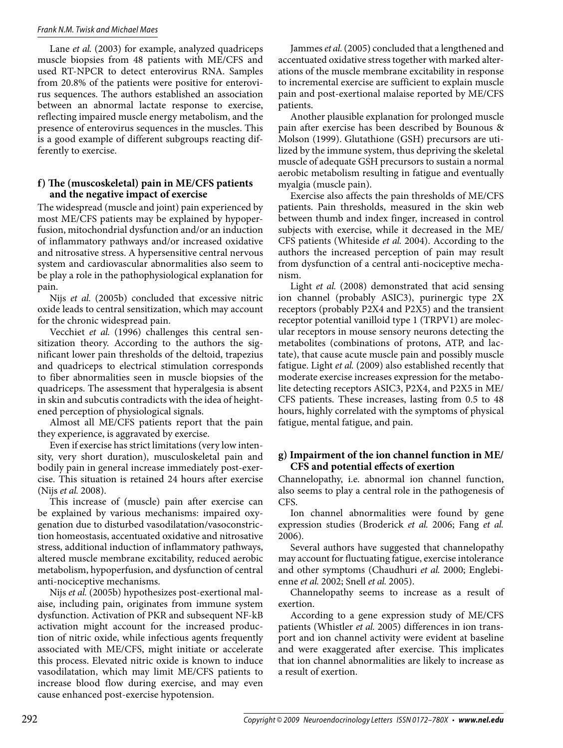#### *Frank N.M. Twisk and Michael Maes*

Lane *et al.* (2003) for example, analyzed quadriceps muscle biopsies from 48 patients with ME/CFS and used RT-NPCR to detect enterovirus RNA. Samples from 20.8% of the patients were positive for enterovirus sequences. The authors established an association between an abnormal lactate response to exercise, reflecting impaired muscle energy metabolism, and the presence of enterovirus sequences in the muscles. This is a good example of different subgroups reacting differently to exercise.

## **f) The (muscoskeletal) pain in ME/CFS patients and the negative impact of exercise**

The widespread (muscle and joint) pain experienced by most ME/CFS patients may be explained by hypoperfusion, mitochondrial dysfunction and/or an induction of inflammatory pathways and/or increased oxidative and nitrosative stress. A hypersensitive central nervous system and cardiovascular abnormalities also seem to be play a role in the pathophysiological explanation for pain.

Nijs *et al.* (2005b) concluded that excessive nitric oxide leads to central sensitization, which may account for the chronic widespread pain.

Vecchiet *et al.* (1996) challenges this central sensitization theory. According to the authors the significant lower pain thresholds of the deltoid, trapezius and quadriceps to electrical stimulation corresponds to fiber abnormalities seen in muscle biopsies of the quadriceps. The assessment that hyperalgesia is absent in skin and subcutis contradicts with the idea of heightened perception of physiological signals.

Almost all ME/CFS patients report that the pain they experience, is aggravated by exercise.

Even if exercise has strict limitations (very low intensity, very short duration), musculoskeletal pain and bodily pain in general increase immediately post-exercise. This situation is retained 24 hours after exercise (Nijs *et al.* 2008).

This increase of (muscle) pain after exercise can be explained by various mechanisms: impaired oxygenation due to disturbed vasodilatation/vasoconstriction homeostasis, accentuated oxidative and nitrosative stress, additional induction of inflammatory pathways, altered muscle membrane excitability, reduced aerobic metabolism, hypoperfusion, and dysfunction of central anti-nociceptive mechanisms.

Nijs *et al.* (2005b) hypothesizes post-exertional malaise, including pain, originates from immune system dysfunction. Activation of PKR and subsequent NF-kB activation might account for the increased production of nitric oxide, while infectious agents frequently associated with ME/CFS, might initiate or accelerate this process. Elevated nitric oxide is known to induce vasodilatation, which may limit ME/CFS patients to increase blood flow during exercise, and may even cause enhanced post-exercise hypotension.

Jammes et al. (2005) concluded that a lengthened and accentuated oxidative stress together with marked alterations of the muscle membrane excitability in response to incremental exercise are sufficient to explain muscle pain and post-exertional malaise reported by ME/CFS patients.

Another plausible explanation for prolonged muscle pain after exercise has been described by Bounous & Molson (1999). Glutathione (GSH) precursors are uti lized by the immune system, thus depriving the skeletal muscle of adequate GSH precursors to sustain a normal aerobic metabolism resulting in fatigue and eventually myalgia (muscle pain).

Exercise also affects the pain thresholds of ME/CFS patients. Pain thresholds, measured in the skin web between thumb and index finger, increased in control subjects with exercise, while it decreased in the ME/ CFS patients (Whiteside *et al.* 2004). According to the authors the increased perception of pain may result from dysfunction of a central anti-nociceptive mechanism.

Light *et al.* (2008) demonstrated that acid sensing ion channel (probably ASIC3), purinergic type 2X receptors (probably P2X4 and P2X5) and the transient receptor potential vanilloid type 1 (TRPV1) are molecular receptors in mouse sensory neurons detecting the metabolites (combinations of protons, ATP, and lactate), that cause acute muscle pain and possibly muscle fatigue. Light *et al.* (2009) also established recently that moderate exercise increases expression for the metabolite detecting receptors ASIC3, P2X4, and P2X5 in ME/ CFS patients. These increases, lasting from 0.5 to 48 hours, highly correlated with the symptoms of physical fatigue, mental fatigue, and pain.

#### **g) Impairment of the ion channel function in ME/ CFS and potential effects of exertion**

Channelopathy, i.e. abnormal ion channel function, also seems to play a central role in the pathogenesis of CFS.

Ion channel abnormalities were found by gene expression studies (Broderick *et al.* 2006; Fang *et al.*  2006).

Several authors have suggested that channelopathy may account for fluctuating fatigue, exercise intolerance and other symptoms (Chaudhuri *et al.* 2000; Englebienne *et al.* 2002; Snell *et al.* 2005).

Channelopathy seems to increase as a result of exertion.

According to a gene expression study of ME/CFS patients (Whistler *et al.* 2005) differences in ion transport and ion channel activity were evident at baseline and were exaggerated after exercise. This implicates that ion channel abnormalities are likely to increase as a result of exertion.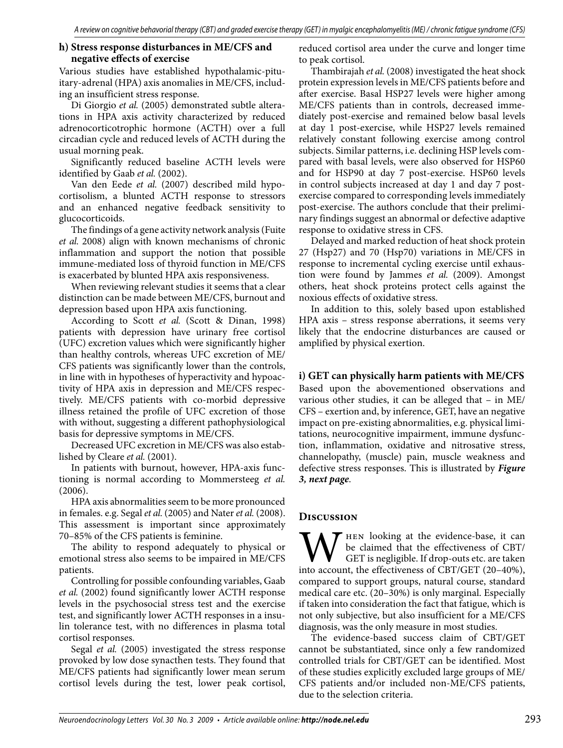#### **h) Stress response disturbances in ME/CFS and negative effects of exercise**

Various studies have established hypothalamic-pituitary-adrenal (HPA) axis anomalies in ME/CFS, including an insufficient stress response.

Di Giorgio *et al.* (2005) demonstrated subtle alterations in HPA axis activity characterized by reduced adrenocorticotrophic hormone (ACTH) over a full circadian cycle and reduced levels of ACTH during the usual morning peak.

Significantly reduced baseline ACTH levels were identified by Gaab et al. (2002).

Van den Eede *et al.* (2007) described mild hypocortisolism, a blunted ACTH response to stressors and an enhanced negative feedback sensitivity to glucocorticoids.

The findings of a gene activity network analysis (Fuite *et al.* 2008) align with known mechanisms of chronic inflammation and support the notion that possible immune-mediated loss of thyroid function in ME/CFS is exacerbated by blunted HPA axis responsiveness.

When reviewing relevant studies it seems that a clear distinction can be made between ME/CFS, burnout and depression based upon HPA axis functioning.

According to Scott *et al.* (Scott & Dinan, 1998) patients with depression have urinary free cortisol (UFC) excretion values which were significantly higher than healthy controls, whereas UFC excretion of ME/ CFS patients was significantly lower than the controls, in line with in hypotheses of hyperactivity and hypoactivity of HPA axis in depression and ME/CFS respectively. ME/CFS patients with co-morbid depressive illness retained the profile of UFC excretion of those with without, suggesting a different pathophysiological basis for depressive symptoms in ME/CFS.

Decreased UFC excretion in ME/CFS was also established by Cleare *et al.* (2001).

In patients with burnout, however, HPA-axis functioning is normal according to Mommersteeg *et al.*  (2006).

HPA axis abnormalities seem to be more pronounced in females. e.g. Segal *et al.* (2005) and Nater *et al.* (2008). This assessment is important since approximately 70–85% of the CFS patients is feminine.

The ability to respond adequately to physical or emotional stress also seems to be impaired in ME/CFS patients.

Controlling for possible confounding variables, Gaab *et al.* (2002) found significantly lower ACTH response levels in the psychosocial stress test and the exercise test, and significantly lower ACTH responses in a insulin tolerance test, with no differences in plasma total cortisol responses.

Segal *et al.* (2005) investigated the stress response provoked by low dose synacthen tests. They found that ME/CFS patients had significantly lower mean serum cortisol levels during the test, lower peak cortisol, reduced cortisol area under the curve and longer time to peak cortisol.

Thambirajah *et al.* (2008) investigated the heat shock protein expression levels in ME/CFS patients before and after exercise. Basal HSP27 levels were higher among ME/CFS patients than in controls, decreased immediately post-exercise and remained below basal levels at day 1 post-exercise, while HSP27 levels remained relatively constant following exercise among control subjects. Similar patterns, i.e. declining HSP levels compared with basal levels, were also observed for HSP60 and for HSP90 at day 7 post-exercise. HSP60 levels in control subjects increased at day 1 and day 7 postexercise compared to corresponding levels immediately post-exercise. The authors conclude that their preliminary findings suggest an abnormal or defective adaptive response to oxidative stress in CFS.

Delayed and marked reduction of heat shock protein 27 (Hsp27) and 70 (Hsp70) variations in ME/CFS in response to incremental cycling exercise until exhaustion were found by Jammes *et al.* (2009). Amongst others, heat shock proteins protect cells against the noxious effects of oxidative stress.

In addition to this, solely based upon established HPA axis – stress response aberrations, it seems very likely that the endocrine disturbances are caused or amplified by physical exertion.

## **i) GET can physically harm patients with ME/CFS**

Based upon the abovementioned observations and various other studies, it can be alleged that – in ME/ CFS – exertion and, by inference, GET, have an negative impact on pre-existing abnormalities, e.g. physical limitations, neurocognitive impairment, immune dysfunction, inflammation, oxidative and nitrosative stress, channelopathy, (muscle) pain, muscle weakness and defective stress responses. This is illustrated by *Figure 3, next page*.

## **Discussion**

WHEN looking at the evidence-base, it can be claimed that the effectiveness of CBT/<br>GET is negligible. If drop-outs etc. are taken<br>into account, the effectiveness of CBT/GET (20–40%), be claimed that the effectiveness of CBT/ GET is negligible. If drop-outs etc. are taken compared to support groups, natural course, standard medical care etc. (20–30%) is only marginal. Especially if taken into consideration the fact that fatigue, which is not only subjective, but also insufficient for a ME/CFS diagnosis, was the only measure in most studies.

The evidence-based success claim of CBT/GET cannot be substantiated, since only a few randomized controlled trials for CBT/GET can be identified. Most of these studies explicitly excluded large groups of ME/ CFS patients and/or included non-ME/CFS patients, due to the selection criteria.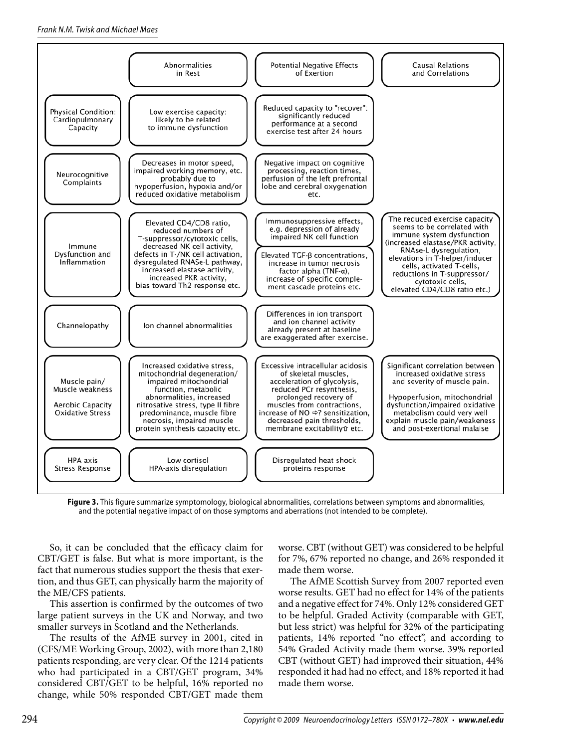

**Figure 3.** This figure summarize symptomology, biological abnormalities, correlations between symptoms and abnormalities, and the potential negative impact of on those symptoms and aberrations (not intended to be complete).

So, it can be concluded that the efficacy claim for CBT/GET is false. But what is more important, is the fact that numerous studies support the thesis that exertion, and thus GET, can physically harm the majority of the ME/CFS patients.

This assertion is confirmed by the outcomes of two large patient surveys in the UK and Norway, and two smaller surveys in Scotland and the Netherlands.

The results of the AfME survey in 2001, cited in (CFS/ME Working Group, 2002), with more than 2,180 patients responding, are very clear. Of the 1214 patients who had participated in a CBT/GET program, 34% considered CBT/GET to be helpful, 16% reported no change, while 50% responded CBT/GET made them worse. CBT (without GET) was considered to be helpful for 7%, 67% reported no change, and 26% responded it made them worse.

The AfME Scottish Survey from 2007 reported even worse results. GET had no effect for 14% of the patients and a negative effect for 74%. Only 12% considered GET to be helpful. Graded Activity (comparable with GET, but less strict) was helpful for 32% of the participating patients, 14% reported "no effect", and according to 54% Graded Activity made them worse. 39% reported CBT (without GET) had improved their situation, 44% responded it had had no effect, and 18% reported it had made them worse.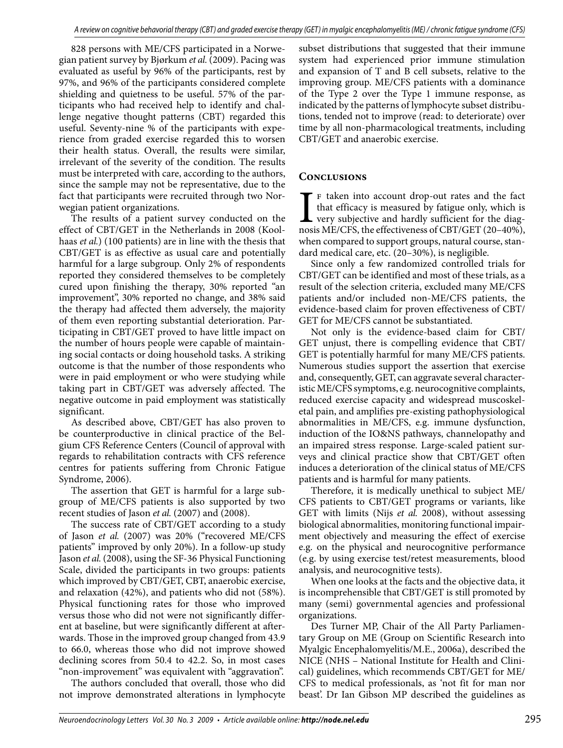828 persons with ME/CFS participated in a Norwegian patient survey by Bjørkum *et al.* (2009). Pacing was evaluated as useful by 96% of the participants, rest by 97%, and 96% of the participants considered complete shielding and quietness to be useful. 57% of the participants who had received help to identify and challenge negative thought patterns (CBT) regarded this useful. Seventy-nine % of the participants with experience from graded exercise regarded this to worsen their health status. Overall, the results were similar, irrelevant of the severity of the condition. The results must be interpreted with care, according to the authors, since the sample may not be representative, due to the fact that participants were recruited through two Norwegian patient organizations.

The results of a patient survey conducted on the effect of CBT/GET in the Netherlands in 2008 (Koolhaas *et al.*) (100 patients) are in line with the thesis that CBT/GET is as effective as usual care and potentially harmful for a large subgroup. Only 2% of respondents reported they considered themselves to be completely cured upon finishing the therapy, 30% reported "an improvement", 30% reported no change, and 38% said the therapy had affected them adversely, the majority of them even reporting substantial deterioration. Participating in CBT/GET proved to have little impact on the number of hours people were capable of maintaining social contacts or doing household tasks. A striking outcome is that the number of those respondents who were in paid employment or who were studying while taking part in CBT/GET was adversely affected. The negative outcome in paid employment was statistically significant.

As described above, CBT/GET has also proven to be counterproductive in clinical practice of the Belgium CFS Reference Centers (Council of approval with regards to rehabilitation contracts with CFS reference centres for patients suffering from Chronic Fatigue Syndrome, 2006).

The assertion that GET is harmful for a large subgroup of ME/CFS patients is also supported by two recent studies of Jason *et al.* (2007) and (2008).

The success rate of CBT/GET according to a study of Jason *et al.* (2007) was 20% ("recovered ME/CFS patients" improved by only 20%). In a follow-up study Jason *et al.* (2008), using the SF-36 Physical Functioning Scale, divided the participants in two groups: patients which improved by CBT/GET, CBT, anaerobic exercise, and relaxation (42%), and patients who did not (58%). Physical functioning rates for those who improved versus those who did not were not significantly different at baseline, but were significantly different at afterwards. Those in the improved group changed from 43.9 to 66.0, whereas those who did not improve showed declining scores from 50.4 to 42.2. So, in most cases "non-improvement" was equivalent with "aggravation".

The authors concluded that overall, those who did not improve demonstrated alterations in lymphocyte subset distributions that suggested that their immune system had experienced prior immune stimulation and expansion of T and B cell subsets, relative to the improving group. ME/CFS patients with a dominance of the Type 2 over the Type 1 immune response, as indicated by the patterns of lymphocyte subset distributions, tended not to improve (read: to deteriorate) over time by all non-pharmacological treatments, including CBT/GET and anaerobic exercise.

# **Conclusions**

F taken into account drop-out rates and the fact that efficacy is measured by fatigue only, which is very subjective and hardly sufficient for the diagnosis ME/CFS, the effectiveness of CBT/GET (20–40%), f taken into account drop-out rates and the fact that efficacy is measured by fatigue only, which is very subjective and hardly sufficient for the diagwhen compared to support groups, natural course, standard medical care, etc. (20–30%), is negligible.

Since only a few randomized controlled trials for CBT/GET can be identified and most of these trials, as a result of the selection criteria, excluded many ME/CFS patients and/or included non-ME/CFS patients, the evidence-based claim for proven effectiveness of CBT/ GET for ME/CFS cannot be substantiated.

Not only is the evidence-based claim for CBT/ GET unjust, there is compelling evidence that CBT/ GET is potentially harmful for many ME/CFS patients. Numerous studies support the assertion that exercise and, consequently, GET, can aggravate several characteristic ME/CFS symptoms, e.g. neurocognitive complaints, reduced exercise capacity and widespread muscoskeletal pain, and amplifies pre-existing pathophysiological abnormalities in ME/CFS, e.g. immune dysfunction, induction of the IO&NS pathways, channelopathy and an impaired stress response. Large-scaled patient surveys and clinical practice show that CBT/GET often induces a deterioration of the clinical status of ME/CFS patients and is harmful for many patients.

Therefore, it is medically unethical to subject ME/ CFS patients to CBT/GET programs or variants, like GET with limits (Nijs *et al.* 2008), without assessing biological abnormalities, monitoring functional impairment objectively and measuring the effect of exercise e.g. on the physical and neurocognitive performance (e.g. by using exercise test/retest measurements, blood analysis, and neurocognitive tests).

When one looks at the facts and the objective data, it is incomprehensible that CBT/GET is still promoted by many (semi) governmental agencies and professional organizations.

Des Turner MP, Chair of the All Party Parliamentary Group on ME (Group on Scientific Research into Myalgic Encephalomyelitis/M.E., 2006a), described the NICE (NHS – National Institute for Health and Clinical) guidelines, which recommends CBT/GET for ME/ CFS to medical professionals, as 'not fit for man nor beast'. Dr Ian Gibson MP described the guidelines as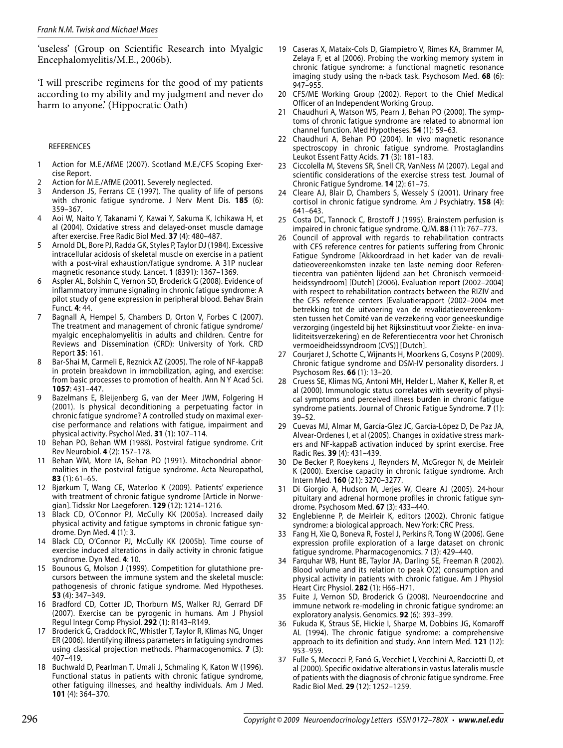'useless' (Group on Scientific Research into Myalgic Encephalomyelitis/M.E., 2006b).

'I will prescribe regimens for the good of my patients according to my ability and my judgment and never do harm to anyone.' (Hippocratic Oath)

#### REFERENCES

- 1 Action for M.E./AfME (2007). Scotland M.E./CFS Scoping Exercise Report.
- 2 Action for M.E./AfME (2001). Severely neglected.
- 3 Anderson JS, Ferrans CE (1997). The quality of life of persons with chronic fatigue syndrome. J Nerv Ment Dis. **185** (6): 359–367.
- 4 Aoi W, Naito Y, Takanami Y, Kawai Y, Sakuma K, Ichikawa H, et al (2004). Oxidative stress and delayed-onset muscle damage after exercise. Free Radic Biol Med. **37** (4): 480–487.
- 5 Arnold DL, Bore PJ, Radda GK, Styles P, Taylor DJ (1984). Excessive intracellular acidosis of skeletal muscle on exercise in a patient with a post-viral exhaustion/fatigue syndrome. A 31P nuclear magnetic resonance study. Lancet. **1** (8391): 1367–1369.
- 6 Aspler AL, Bolshin C, Vernon SD, Broderick G (2008). Evidence of inflammatory immune signaling in chronic fatigue syndrome: A pilot study of gene expression in peripheral blood. Behav Brain Funct. **4**: 44.
- 7 Bagnall A, Hempel S, Chambers D, Orton V, Forbes C (2007). The treatment and management of chronic fatigue syndrome/ myalgic encephalomyelitis in adults and children. Centre for Reviews and Dissemination (CRD): University of York. CRD Report **35**: 161.
- 8 Bar-Shai M, Carmeli E, Reznick AZ (2005). The role of NF-kappaB in protein breakdown in immobilization, aging, and exercise: from basic processes to promotion of health. Ann N Y Acad Sci. **1057**: 431–447.
- 9 Bazelmans E, Bleijenberg G, van der Meer JWM, Folgering H (2001). Is physical deconditioning a perpetuating factor in chronic fatigue syndrome? A controlled study on maximal exercise performance and relations with fatigue, impairment and physical activity. Psychol Med. **31** (1): 107–114.
- 10 Behan PO, Behan WM (1988). Postviral fatigue syndrome. Crit Rev Neurobiol. **4** (2): 157–178.
- 11 Behan WM, More IA, Behan PO (1991). Mitochondrial abnormalities in the postviral fatigue syndrome. Acta Neuropathol, **83** (1): 61–65.
- 12 Bjørkum T, Wang CE, Waterloo K (2009). Patients' experience with treatment of chronic fatigue syndrome [Article in Norwegian]. Tidsskr Nor Laegeforen. **129** (12): 1214–1216.
- 13 Black CD, O'Connor PJ, McCully KK (2005a). Increased daily physical activity and fatigue symptoms in chronic fatigue syndrome. Dyn Med. **4** (1): 3.
- 14 Black CD, O'Connor PJ, McCully KK (2005b). Time course of exercise induced alterations in daily activity in chronic fatigue syndrome. Dyn Med. **4**: 10.
- 15 Bounous G, Molson J (1999). Competition for glutathione precursors between the immune system and the skeletal muscle: pathogenesis of chronic fatigue syndrome. Med Hypotheses. **53** (4): 347–349.
- 16 Bradford CD, Cotter JD, Thorburn MS, Walker RJ, Gerrard DF (2007). Exercise can be pyrogenic in humans. Am J Physiol Regul Integr Comp Physiol. **292** (1): R143–R149.
- 17 Broderick G, Craddock RC, Whistler T, Taylor R, Klimas NG, Unger ER (2006). Identifying illness parameters in fatiguing syndromes using classical projection methods. Pharmacogenomics. **7** (3): 407–419.
- 18 Buchwald D, Pearlman T, Umali J, Schmaling K, Katon W (1996). Functional status in patients with chronic fatigue syndrome, other fatiguing illnesses, and healthy individuals. Am J Med. **101** (4): 364–370.
- 19 Caseras X, Mataix-Cols D, Giampietro V, Rimes KA, Brammer M, Zelaya F, et al (2006). Probing the working memory system in chronic fatigue syndrome: a functional magnetic resonance imaging study using the n-back task. Psychosom Med. **68** (6): 947–955.
- 20 CFS/ME Working Group (2002). Report to the Chief Medical Officer of an Independent Working Group.
- 21 Chaudhuri A, Watson WS, Pearn J, Behan PO (2000). The symptoms of chronic fatigue syndrome are related to abnormal ion channel function. Med Hypotheses. **54** (1): 59–63.
- 22 Chaudhuri A, Behan PO (2004). In vivo magnetic resonance spectroscopy in chronic fatigue syndrome. Prostaglandins Leukot Essent Fatty Acids. **71** (3): 181–183.
- 23 Ciccolella M, Stevens SR, Snell CR, VanNess M (2007). Legal and scientific considerations of the exercise stress test. Journal of Chronic Fatigue Syndrome. **14** (2): 61–75.
- 24 Cleare AJ, Blair D, Chambers S, Wessely S (2001). Urinary free cortisol in chronic fatigue syndrome. Am J Psychiatry. **158** (4): 641–643.
- 25 Costa DC, Tannock C, Brostoff J (1995). Brainstem perfusion is impaired in chronic fatigue syndrome. QJM. **88** (11): 767–773.
- 26 Council of approval with regards to rehabilitation contracts with CFS reference centres for patients suffering from Chronic Fatigue Syndrome [Akkoordraad in het kader van de revalidatieovereenkomsten inzake ten laste neming door Referentiecentra van patiënten lijdend aan het Chronisch vermoeidheidssyndroom] [Dutch] (2006). Evaluation report (2002–2004) with respect to rehabilitation contracts between the RIZIV and the CFS reference centers [Evaluatierapport (2002–2004 met betrekking tot de uitvoering van de revalidatieovereenkomsten tussen het Comité van de verzekering voor geneeskundige verzorging (ingesteld bij het Rijksinstituut voor Ziekte- en invaliditeitsverzekering) en de Referentiecentra voor het Chronisch vermoeidheidssyndroom (CVS)] [Dutch].
- 27 Courjaret J, Schotte C, Wijnants H, Moorkens G, Cosyns P (2009). Chronic fatigue syndrome and DSM-IV personality disorders. J Psychosom Res. **66** (1): 13–20.
- 28 Cruess SE, Klimas NG, Antoni MH, Helder L, Maher K, Keller R, et al (2000). Immunologic status correlates with severity of physical symptoms and perceived illness burden in chronic fatigue syndrome patients. Journal of Chronic Fatigue Syndrome. **7** (1): 39–52.
- 29 Cuevas MJ, Almar M, García-Glez JC, García-López D, De Paz JA, Alvear-Ordenes I, et al (2005). Changes in oxidative stress markers and NF-kappaB activation induced by sprint exercise. Free Radic Res. **39** (4): 431–439.
- 30 De Becker P, Roeykens J, Reynders M, McGregor N, de Meirleir K (2000). Exercise capacity in chronic fatigue syndrome. Arch Intern Med. **160** (21): 3270–3277.
- 31 Di Giorgio A, Hudson M, Jerjes W, Cleare AJ (2005). 24-hour pituitary and adrenal hormone profiles in chronic fatigue syndrome. Psychosom Med. **67** (3): 433–440.
- 32 Englebienne P, de Meirleir K, editors (2002). Chronic fatigue syndrome: a biological approach. New York: CRC Press.
- 33 Fang H, Xie Q, Boneva R, Fostel J, Perkins R, Tong W (2006). Gene expression profile exploration of a large dataset on chronic fatigue syndrome. Pharmacogenomics. 7 (3): 429–440.
- 34 Farquhar WB, Hunt BE, Taylor JA, Darling SE, Freeman R (2002). Blood volume and its relation to peak O(2) consumption and physical activity in patients with chronic fatigue. Am J Physiol Heart Circ Physiol. **282** (1): H66–H71.
- 35 Fuite J, Vernon SD, Broderick G (2008). Neuroendocrine and immune network re-modeling in chronic fatigue syndrome: an exploratory analysis. Genomics. **92** (6): 393–399.
- 36 Fukuda K, Straus SE, Hickie I, Sharpe M, Dobbins JG, Komaroff AL (1994). The chronic fatigue syndrome: a comprehensive approach to its definition and study. Ann Intern Med. **121** (12): 953–959.
- 37 Fulle S, Mecocci P, Fanó G, Vecchiet I, Vecchini A, Racciotti D, et al (2000). Specific oxidative alterations in vastus lateralis muscle of patients with the diagnosis of chronic fatigue syndrome. Free Radic Biol Med. **29** (12): 1252–1259.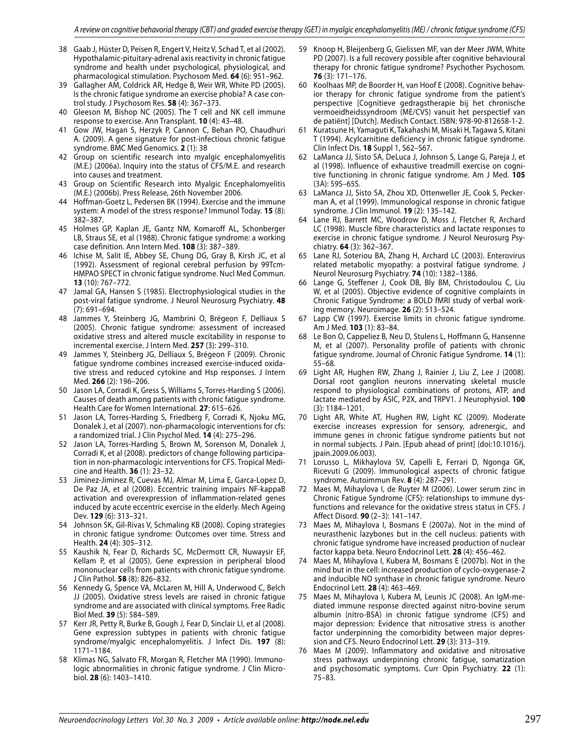- 38 Gaab J, Hüster D, Peisen R, Engert V, Heitz V, Schad T, et al (2002). Hypothalamic-pituitary-adrenal axis reactivity in chronic fatigue syndrome and health under psychological, physiological, and pharmacological stimulation. Psychosom Med. **64** (6): 951–962.
- 39 Gallagher AM, Coldrick AR, Hedge B, Weir WR, White PD (2005). Is the chronic fatigue syndrome an exercise phobia? A case control study. J Psychosom Res. **58** (4): 367–373.
- 40 Gleeson M, Bishop NC (2005). The T cell and NK cell immune response to exercise. Ann Transplant. **10** (4): 43–48.
- 41 Gow JW, Hagan S, Herzyk P, Cannon C, Behan PO, Chaudhuri A. (2009). A gene signature for post-infectious chronic fatigue syndrome. BMC Med Genomics. **2** (1): 38
- 42 Group on scientific research into myalgic encephalomyelitis (M.E.) (2006a). Inquiry into the status of CFS/M.E. and research into causes and treatment.
- 43 Group on Scientific Research into Myalgic Encephalomyelitis (M.E.) (2006b). Press Release, 26th November 2006.
- 44 Hoffman-Goetz L, Pedersen BK (1994). Exercise and the immune system: A model of the stress response? Immunol Today. **15** (8): 382–387.
- 45 Holmes GP, Kaplan JE, Gantz NM, Komaroff AL, Schonberger LB, Straus SE, et al (1988). Chronic fatigue syndrome: a working case definition. Ann Intern Med. **108** (3): 387–389.
- 46 Ichise M, Salit IE, Abbey SE, Chung DG, Gray B, Kirsh JC, et al (1992). Assessment of regional cerebral perfusion by 99Tcm-HMPAO SPECT in chronic fatigue syndrome. Nucl Med Commun. **13** (10): 767–772.
- 47 Jamal GA, Hansen S (1985). Electrophysiological studies in the post-viral fatigue syndrome. J Neurol Neurosurg Psychiatry. **48** (7): 691–694.
- 48 Jammes Y, Steinberg JG, Mambrini O, Brégeon F, Delliaux S (2005). Chronic fatigue syndrome: assessment of increased oxidative stress and altered muscle excitability in response to incremental exercise. J Intern Med. **257** (3): 299–310.
- 49 Jammes Y, Steinberg JG, Delliaux S, Brégeon F (2009). Chronic fatigue syndrome combines increased exercise-induced oxidative stress and reduced cytokine and Hsp responses. J Intern Med. **266** (2): 196–206.
- 50 Jason LA, Corradi K, Gress S, Williams S, Torres-Harding S (2006). Causes of death among patients with chronic fatigue syndrome. Health Care for Women International. **27**: 615–626.
- 51 Jason LA, Torres-Harding S, Friedberg F, Corradi K, Njoku MG, Donalek J, et al (2007). non-pharmacologic interventions for cfs: a randomized trial. J Clin Psychol Med. **14** (4): 275–296.
- 52 Jason LA, Torres-Harding S, Brown M, Sorenson M, Donalek J, Corradi K, et al (2008). predictors of change following participation in non-pharmacologic interventions for CFS. Tropical Medicine and Health. **36** (1): 23–32.
- 53 Jiminez-Jiminez R, Cuevas MJ, Almar M, Lima E, Garca-Lopez D, De Paz JA, et al (2008). Eccentric training impairs NF-kappaB activation and overexpression of inflammation-related genes induced by acute eccentric exercise in the elderly. Mech Ageing Dev. **129** (6): 313–321.
- 54 Johnson SK, Gil-Rivas V, Schmaling KB (2008). Coping strategies in chronic fatigue syndrome: Outcomes over time. Stress and Health. **24** (4): 305–312.
- 55 Kaushik N, Fear D, Richards SC, McDermott CR, Nuwaysir EF, Kellam P, et al (2005). Gene expression in peripheral blood mononuclear cells from patients with chronic fatigue syndrome. J Clin Pathol. **58** (8): 826–832.
- 56 Kennedy G, Spence VA, McLaren M, Hill A, Underwood C, Belch JJ (2005). Oxidative stress levels are raised in chronic fatigue syndrome and are associated with clinical symptoms. Free Radic Biol Med. **39** (5): 584–589.
- 57 Kerr JR, Petty R, Burke B, Gough J, Fear D, Sinclair LI, et al (2008). Gene expression subtypes in patients with chronic fatigue syndrome/myalgic encephalomyelitis. J Infect Dis. **197** (8): 1171–1184.
- 58 Klimas NG, Salvato FR, Morgan R, Fletcher MA (1990). Immunologic abnormalities in chronic fatigue syndrome. J Clin Microbiol. **28** (6): 1403–1410.
- 59 Knoop H, Bleijenberg G, Gielissen MF, van der Meer JWM, White PD (2007). Is a full recovery possible after cognitive behavioural therapy for chronic fatigue syndrome? Psychother Psychosom. **76** (3): 171–176.
- 60 Koolhaas MP, de Boorder H, van Hoof E (2008). Cognitive behavior therapy for chronic fatigue syndrome from the patient's perspective [Cognitieve gedragstherapie bij het chronische vermoeidheidssyndroom (ME/CVS) vanuit het perspectief van de patiënt] [Dutch]. Medisch Contact. ISBN: 978-90-812658-1-2.
- 61 Kuratsune H, Yamaguti K, Takahashi M, Misaki H, Tagawa S, Kitani T (1994). Acylcarnitine deficiency in chronic fatigue syndrome. Clin Infect Dis. **18** Suppl 1, S62–S67.
- 62 LaManca JJ, Sisto SA, DeLuca J, Johnson S, Lange G, Pareja J, et al (1998). Influence of exhaustive treadmill exercise on cognitive functioning in chronic fatigue syndrome. Am J Med. **105** (3A): 59S–65S.
- 63 LaManca JJ, Sisto SA, Zhou XD, Ottenweller JE, Cook S, Peckerman A, et al (1999). Immunological response in chronic fatigue syndrome. J Clin Immunol. **19** (2): 135–142.
- 64 Lane RJ, Barrett MC, Woodrow D, Moss J, Fletcher R, Archard LC (1998). Muscle fibre characteristics and lactate responses to exercise in chronic fatigue syndrome. J Neurol Neurosurg Psychiatry. **64** (3): 362–367.
- 65 Lane RJ, Soteriou BA, Zhang H, Archard LC (2003). Enterovirus related metabolic myopathy: a postviral fatigue syndrome. J Neurol Neurosurg Psychiatry. **74** (10): 1382–1386.
- 66 Lange G, Steffener J, Cook DB, Bly BM, Christodoulou C, Liu W, et al (2005). Objective evidence of cognitive complaints in Chronic Fatigue Syndrome: a BOLD fMRI study of verbal working memory. Neuroimage. **26** (2): 513–524.
- Lapp CW (1997). Exercise limits in chronic fatigue syndrome. Am J Med. **103** (1): 83–84.
- 68 Le Bon O, Cappeliez B, Neu D, Stulens L, Hoffmann G, Hansenne M, et al (2007). Personality profile of patients with chronic fatigue syndrome. Journal of Chronic Fatigue Syndrome. **14** (1): 55–68.
- 69 Light AR, Hughen RW, Zhang J, Rainier J, Liu Z, Lee J (2008). Dorsal root ganglion neurons innervating skeletal muscle respond to physiological combinations of protons, ATP, and lactate mediated by ASIC, P2X, and TRPV1. J Neurophysiol. **100** (3): 1184–1201.
- 70 Light AR, White AT, Hughen RW, Light KC (2009). Moderate exercise increases expression for sensory, adrenergic, and immune genes in chronic fatigue syndrome patients but not in normal subjects. J Pain. [Epub ahead of print] (doi:10.1016/j. jpain.2009.06.003).
- 71 Lorusso L, Mikhaylova SV, Capelli E, Ferrari D, Ngonga GK, Ricevuti G (2009). Immunological aspects of chronic fatigue syndrome. Autoimmun Rev. **8** (4): 287–291.
- 72 Maes M, Mihaylova I, de Ruyter M (2006). Lower serum zinc in Chronic Fatigue Syndrome (CFS): relationships to immune dysfunctions and relevance for the oxidative stress status in CFS. J Affect Disord. **90** (2–3): 141–147.
- 73 Maes M, Mihaylova I, Bosmans E (2007a). Not in the mind of neurasthenic lazybones but in the cell nucleus: patients with chronic fatigue syndrome have increased production of nuclear factor kappa beta. Neuro Endocrinol Lett. **28** (4): 456–462.
- 74 Maes M, Mihaylova I, Kubera M, Bosmans E (2007b). Not in the mind but in the cell: increased production of cyclo-oxygenase-2 and inducible NO synthase in chronic fatigue syndrome. Neuro Endocrinol Lett. **28** (4): 463–469.
- 75 Maes M, Mihaylova I, Kubera M, Leunis JC (2008). An IgM-mediated immune response directed against nitro-bovine serum albumin (nitro-BSA) in chronic fatigue syndrome (CFS) and major depression: Evidence that nitrosative stress is another factor underpinning the comorbidity between major depression and CFS. Neuro Endocrinol Lett. **29** (3): 313–319.
- 76 Maes M (2009). Inflammatory and oxidative and nitrosative stress pathways underpinning chronic fatigue, somatization and psychosomatic symptoms. Curr Opin Psychiatry. **22** (1): 75–83.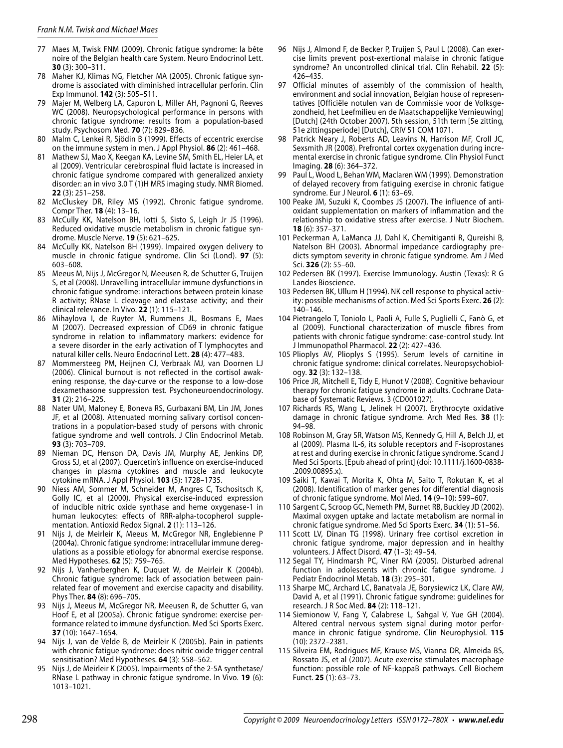- 77 Maes M, Twisk FNM (2009). Chronic fatigue syndrome: la bête noire of the Belgian health care System. Neuro Endocrinol Lett. **30** (3): 300–311.
- 78 Maher KJ, Klimas NG, Fletcher MA (2005). Chronic fatigue syndrome is associated with diminished intracellular perforin. Clin Exp Immunol. **142** (3): 505–511.
- 79 Majer M, Welberg LA, Capuron L, Miller AH, Pagnoni G, Reeves WC (2008). Neuropsychological performance in persons with chronic fatigue syndrome: results from a population-based study. Psychosom Med. **70** (7): 829–836.
- 80 Malm C, Lenkei R, Sjödin B (1999). Effects of eccentric exercise on the immune system in men. J Appl Physiol. **86** (2): 461–468.
- 81 Mathew SJ, Mao X, Keegan KA, Levine SM, Smith EL, Heier LA, et al (2009). Ventricular cerebrospinal fluid lactate is increased in chronic fatigue syndrome compared with generalized anxiety disorder: an in vivo 3.0 T (1)H MRS imaging study. NMR Biomed. **22** (3): 251–258.
- 82 McCluskey DR, Riley MS (1992). Chronic fatigue syndrome. Compr Ther. **18** (4): 13–16.
- 83 McCully KK, Natelson BH, Iotti S, Sisto S, Leigh Jr JS (1996). Reduced oxidative muscle metabolism in chronic fatigue syndrome. Muscle Nerve. **19** (5): 621–625.
- 84 McCully KK, Natelson BH (1999). Impaired oxygen delivery to muscle in chronic fatigue syndrome. Clin Sci (Lond). **97** (5): 603–608.
- 85 Meeus M, Nijs J, McGregor N, Meeusen R, de Schutter G, Truijen S, et al (2008). Unravelling intracellular immune dysfunctions in chronic fatigue syndrome: interactions between protein kinase R activity; RNase L cleavage and elastase activity; and their clinical relevance. In Vivo. **22** (1): 115–121.
- 86 Mihaylova I, de Ruyter M, Rummens JL, Bosmans E, Maes M (2007). Decreased expression of CD69 in chronic fatigue syndrome in relation to inflammatory markers: evidence for a severe disorder in the early activation of T lymphocytes and natural killer cells. Neuro Endocrinol Lett. **28** (4): 477–483.
- 87 Mommersteeg PM, Heijnen CJ, Verbraak MJ, van Doornen LJ (2006). Clinical burnout is not reflected in the cortisol awakening response, the day-curve or the response to a low-dose dexamethasone suppression test. Psychoneuroendocrinology. **31** (2): 216–225.
- 88 Nater UM, Maloney E, Boneva RS, Gurbaxani BM, Lin JM, Jones JF, et al (2008). Attenuated morning salivary cortisol concentrations in a population-based study of persons with chronic fatigue syndrome and well controls. J Clin Endocrinol Metab. **93** (3): 703–709.
- 89 Nieman DC, Henson DA, Davis JM, Murphy AE, Jenkins DP, Gross SJ, et al (2007). Quercetin's influence on exercise-induced changes in plasma cytokines and muscle and leukocyte cytokine mRNA. J Appl Physiol. **103** (5): 1728–1735.
- 90 Niess AM, Sommer M, Schneider M, Angres C, Tschositsch K, Golly IC, et al (2000). Physical exercise-induced expression of inducible nitric oxide synthase and heme oxygenase-1 in human leukocytes: effects of RRR-alpha-tocopherol supplementation. Antioxid Redox Signal. **2** (1): 113–126.
- 91 Nijs J, de Meirleir K, Meeus M, McGregor NR, Englebienne P (2004a). Chronic fatigue syndrome: intracellular immune deregulations as a possible etiology for abnormal exercise response. Med Hypotheses. **62** (5): 759–765.
- 92 Nijs J, Vanherberghen K, Duquet W, de Meirleir K (2004b). Chronic fatigue syndrome: lack of association between painrelated fear of movement and exercise capacity and disability. Phys Ther. **84** (8): 696–705.
- 93 Nijs J, Meeus M, McGregor NR, Meeusen R, de Schutter G, van Hoof E, et al (2005a). Chronic fatigue syndrome: exercise performance related to immune dysfunction. Med Sci Sports Exerc. **37** (10): 1647–1654.
- 94 Nijs J, van de Velde B, de Meirleir K (2005b). Pain in patients with chronic fatigue syndrome: does nitric oxide trigger central sensitisation? Med Hypotheses. **64** (3): 558–562.
- 95 Nijs J, de Meirleir K (2005). Impairments of the 2-5A synthetase/ RNase L pathway in chronic fatigue syndrome. In Vivo. **19** (6): 1013–1021.
- 96 Nijs J, Almond F, de Becker P, Truijen S, Paul L (2008). Can exercise limits prevent post-exertional malaise in chronic fatigue syndrome? An uncontrolled clinical trial. Clin Rehabil. **22** (5): 426–435.
- 97 Official minutes of assembly of the commission of health, environment and social innovation, Belgian house of representatives [Officiële notulen van de Commissie voor de Volksgezondheid, het Leefmilieu en de Maatschappelijke Vernieuwing] [Dutch] (24th October 2007). 5th session, 51th term [5e zitting, 51e zittingsperiode] [Dutch], CRIV 51 COM 1071.
- 98 Patrick Neary J, Roberts AD, Leavins N, Harrison MF, Croll JC, Sexsmith JR (2008). Prefrontal cortex oxygenation during incremental exercise in chronic fatigue syndrome. Clin Physiol Funct Imaging. **28** (6): 364–372.
- 99 Paul L, Wood L, Behan WM, Maclaren WM (1999). Demonstration of delayed recovery from fatiguing exercise in chronic fatigue syndrome. Eur J Neurol. **6** (1): 63–69.
- 100 Peake JM, Suzuki K, Coombes JS (2007). The influence of antioxidant supplementation on markers of inflammation and the relationship to oxidative stress after exercise. J Nutr Biochem. **18** (6): 357–371.
- 101 Peckerman A, LaManca JJ, Dahl K, Chemitiganti R, Qureishi B, Natelson BH (2003). Abnormal impedance cardiography predicts symptom severity in chronic fatigue syndrome. Am J Med Sci. **326** (2): 55–60.
- 102 Pedersen BK (1997). Exercise Immunology. Austin (Texas): R G Landes Bioscience.
- 103 Pedersen BK, Ullum H (1994). NK cell response to physical activity: possible mechanisms of action. Med Sci Sports Exerc. **26** (2): 140–146.
- 104 Pietrangelo T, Toniolo L, Paoli A, Fulle S, Puglielli C, Fanò G, et al (2009). Functional characterization of muscle fibres from patients with chronic fatigue syndrome: case-control study. Int J Immunopathol Pharmacol. **22** (2): 427–436.
- 105 Plioplys AV, Plioplys S (1995). Serum levels of carnitine in chronic fatigue syndrome: clinical correlates. Neuropsychobiology. **32** (3): 132–138.
- 106 Price JR, Mitchell E, Tidy E, Hunot V (2008). Cognitive behaviour therapy for chronic fatigue syndrome in adults. Cochrane Database of Systematic Reviews. 3 (CD001027).
- 107 Richards RS, Wang L, Jelinek H (2007). Erythrocyte oxidative damage in chronic fatigue syndrome. Arch Med Res. **38** (1): 94–98.
- 108 Robinson M, Gray SR, Watson MS, Kennedy G, Hill A, Belch JJ, et al (2009). Plasma IL-6, its soluble receptors and F-isoprostanes at rest and during exercise in chronic fatigue syndrome. Scand J Med Sci Sports. [Epub ahead of print] (doi: 10.1111/j.1600-0838- .2009.00895.x).
- 109 Saiki T, Kawai T, Morita K, Ohta M, Saito T, Rokutan K, et al (2008). Identification of marker genes for differential diagnosis of chronic fatigue syndrome. Mol Med. **14** (9–10): 599–607.
- 110 Sargent C, Scroop GC, Nemeth PM, Burnet RB, Buckley JD (2002). Maximal oxygen uptake and lactate metabolism are normal in chronic fatigue syndrome. Med Sci Sports Exerc. **34** (1): 51–56.
- 111 Scott LV, Dinan TG (1998). Urinary free cortisol excretion in chronic fatigue syndrome, major depression and in healthy volunteers. J Affect Disord. **47** (1–3): 49–54.
- 112 Segal TY, Hindmarsh PC, Viner RM (2005). Disturbed adrenal function in adolescents with chronic fatigue syndrome. J Pediatr Endocrinol Metab. **18** (3): 295–301.
- 113 Sharpe MC, Archard LC, Banatvala JE, Borysiewicz LK, Clare AW, David A, et al (1991). Chronic fatigue syndrome: guidelines for research. J R Soc Med. **84** (2): 118–121.
- 114 Siemionow V, Fang Y, Calabrese L, Sahgal V, Yue GH (2004). Altered central nervous system signal during motor performance in chronic fatigue syndrome. Clin Neurophysiol. **115** (10): 2372–2381.
- 115 Silveira EM, Rodrigues MF, Krause MS, Vianna DR, Almeida BS, Rossato JS, et al (2007). Acute exercise stimulates macrophage function: possible role of NF-kappaB pathways. Cell Biochem Funct. **25** (1): 63–73.